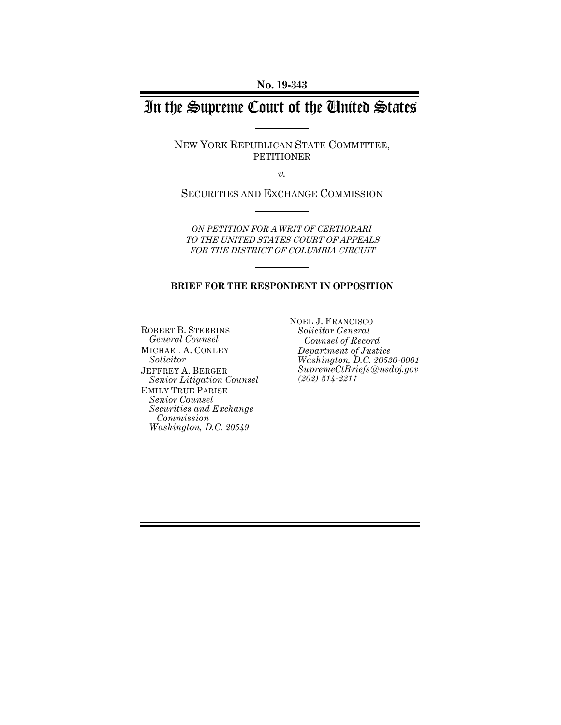**No. 19-343**

# In the Supreme Court of the United States

NEW YORK REPUBLICAN STATE COMMITTEE, PETITIONER

*v.*

SECURITIES AND EXCHANGE COMMISSION

*ON PETITION FOR A WRIT OF CERTIORARI* TO THE UNITED STATES COURT OF APPEALS FOR THE DISTRICT OF COLUMBIA CIRCUIT

#### **BRIEF FOR THE RESPONDENT IN OPPOSITION**

ROBERT B. STEBBINS *General Counsel* MICHAEL A. CONLEY *Solicitor* JEFFREY A. BERGER *Senior Litigation Counsel* EMILY TRUE PARISE *Senior Counsel Securities and Exchange Commission Washington, D.C. 20549*

NOEL J. FRANCISCO *Solicitor General Counsel of Record Department of Justice Washington, D.C. 20530-0001 SupremeCtBriefs@usdoj.gov (202) 514-2217*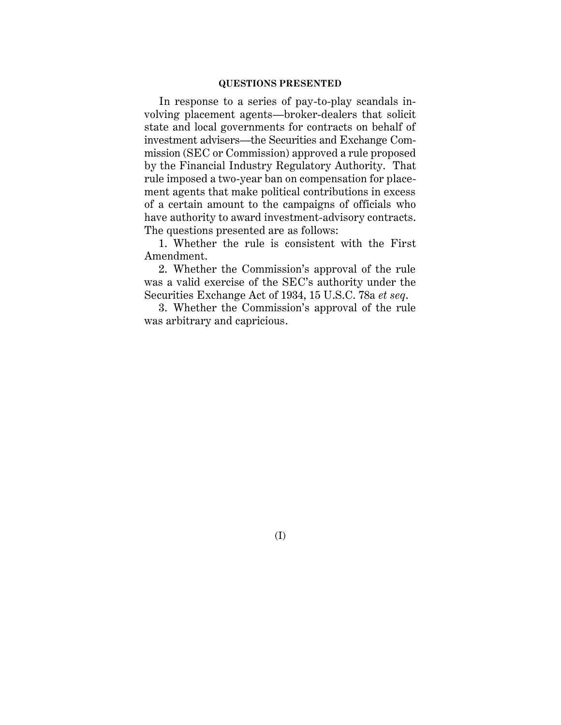#### **QUESTIONS PRESENTED**

In response to a series of pay-to-play scandals involving placement agents—broker-dealers that solicit state and local governments for contracts on behalf of investment advisers—the Securities and Exchange Commission (SEC or Commission) approved a rule proposed by the Financial Industry Regulatory Authority. That rule imposed a two-year ban on compensation for placement agents that make political contributions in excess of a certain amount to the campaigns of officials who have authority to award investment-advisory contracts. The questions presented are as follows:

1. Whether the rule is consistent with the First Amendment.

2. Whether the Commission's approval of the rule was a valid exercise of the SEC's authority under the Securities Exchange Act of 1934, 15 U.S.C. 78a *et seq*.

3. Whether the Commission's approval of the rule was arbitrary and capricious.

(I)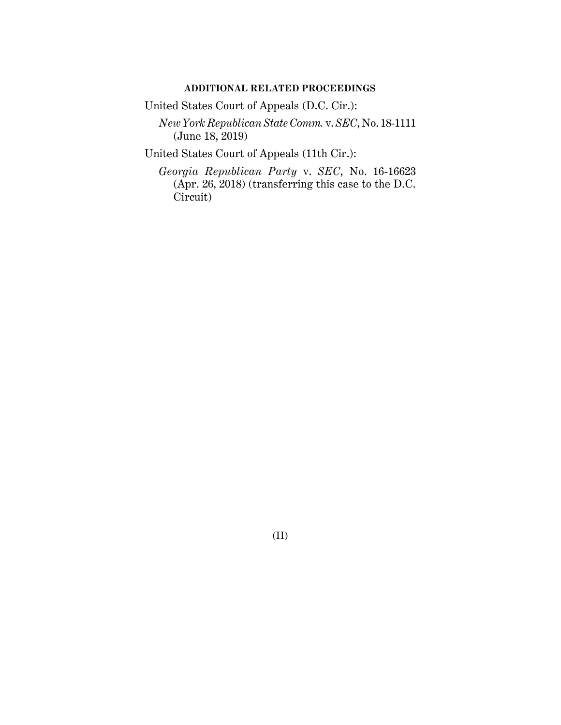# **ADDITIONAL RELATED PROCEEDINGS**

United States Court of Appeals (D.C. Cir.):

*New York Republican State Comm.* v. *SEC*, No. 18-1111 (June 18, 2019)

United States Court of Appeals (11th Cir.):

*Georgia Republican Party* v. *SEC*, No. 16-16623 (Apr. 26, 2018) (transferring this case to the D.C. Circuit)

(II)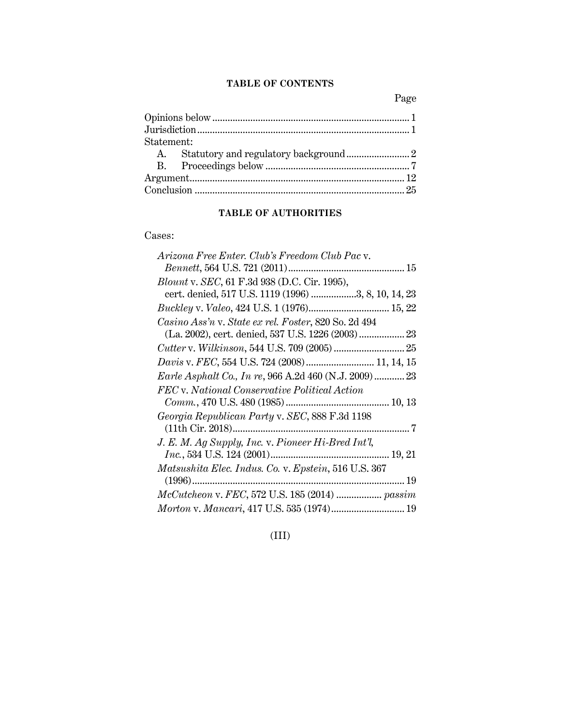# **TABLE OF CONTENTS**

Page

| Statement: |  |
|------------|--|
|            |  |
|            |  |
|            |  |
|            |  |
|            |  |

# **TABLE OF AUTHORITIES**

Cases:

| Arizona Free Enter. Club's Freedom Club Pac v.        |  |
|-------------------------------------------------------|--|
|                                                       |  |
| <i>Blount v. SEC</i> , 61 F.3d 938 (D.C. Cir. 1995),  |  |
| cert. denied, 517 U.S. 1119 (1996) 3, 8, 10, 14, 23   |  |
| Buckley v. Valeo, 424 U.S. 1 (1976) 15, 22            |  |
| Casino Ass'n v. State ex rel. Foster, 820 So. 2d 494  |  |
|                                                       |  |
|                                                       |  |
| Davis v. FEC, 554 U.S. 724 (2008) 11, 14, 15          |  |
| Earle Asphalt Co., In re, 966 A.2d 460 (N.J. 2009) 23 |  |
| FEC v. National Conservative Political Action         |  |
|                                                       |  |
| Georgia Republican Party v. SEC, 888 F.3d 1198        |  |
|                                                       |  |
| J. E. M. Ag Supply, Inc. v. Pioneer Hi-Bred Int'l,    |  |
|                                                       |  |
| Matsushita Elec. Indus. Co. v. Epstein, 516 U.S. 367  |  |
|                                                       |  |
| McCutcheon v. FEC, 572 U.S. 185 (2014)  passim        |  |
| Morton v. Mancari, 417 U.S. 535 (1974) 19             |  |

(III)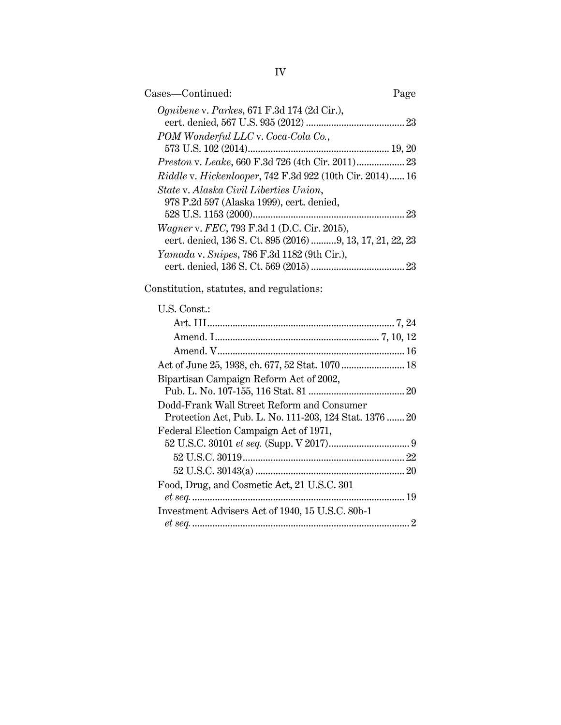| Cases—Continued:                                                                                         | Page |
|----------------------------------------------------------------------------------------------------------|------|
| <i>Ognibene v. Parkes</i> , 671 F.3d 174 (2d Cir.),                                                      |      |
| POM Wonderful LLC v. Coca-Cola Co.,                                                                      |      |
|                                                                                                          |      |
| <i>Riddle v. Hickenlooper, 742 F.3d 922 (10th Cir. 2014) 16</i>                                          |      |
| State v. Alaska Civil Liberties Union,<br>978 P.2d 597 (Alaska 1999), cert. denied,                      |      |
| Wagner v. FEC, 793 F.3d 1 (D.C. Cir. 2015),<br>cert. denied, 136 S. Ct. 895 (2016) 9, 13, 17, 21, 22, 23 |      |
| <i>Yamada v. Snipes, 786 F.3d 1182 (9th Cir.),</i>                                                       |      |

Constitution, statutes, and regulations:

# U.S. Const.:

| Act of June 25, 1938, ch. 677, 52 Stat. 1070  18                                                      |  |
|-------------------------------------------------------------------------------------------------------|--|
| Bipartisan Campaign Reform Act of 2002,                                                               |  |
| Dodd-Frank Wall Street Reform and Consumer<br>Protection Act, Pub. L. No. 111-203, 124 Stat. 1376  20 |  |
| Federal Election Campaign Act of 1971,                                                                |  |
|                                                                                                       |  |
|                                                                                                       |  |
| Food, Drug, and Cosmetic Act, 21 U.S.C. 301                                                           |  |
| Investment Advisers Act of 1940, 15 U.S.C. 80b-1                                                      |  |
|                                                                                                       |  |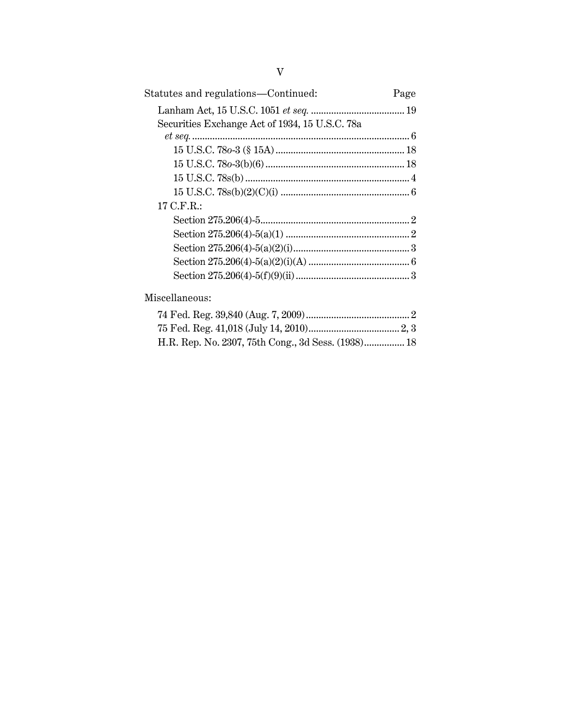| Statutes and regulations-Continued:            | Page |
|------------------------------------------------|------|
|                                                |      |
| Securities Exchange Act of 1934, 15 U.S.C. 78a |      |
|                                                |      |
|                                                |      |
|                                                |      |
|                                                |      |
|                                                |      |
| 17 C.F.R.:                                     |      |
|                                                |      |
|                                                |      |
|                                                |      |
|                                                |      |
|                                                |      |
|                                                |      |

Miscellaneous:

| H.R. Rep. No. 2307, 75th Cong., 3d Sess. (1938) 18 |  |
|----------------------------------------------------|--|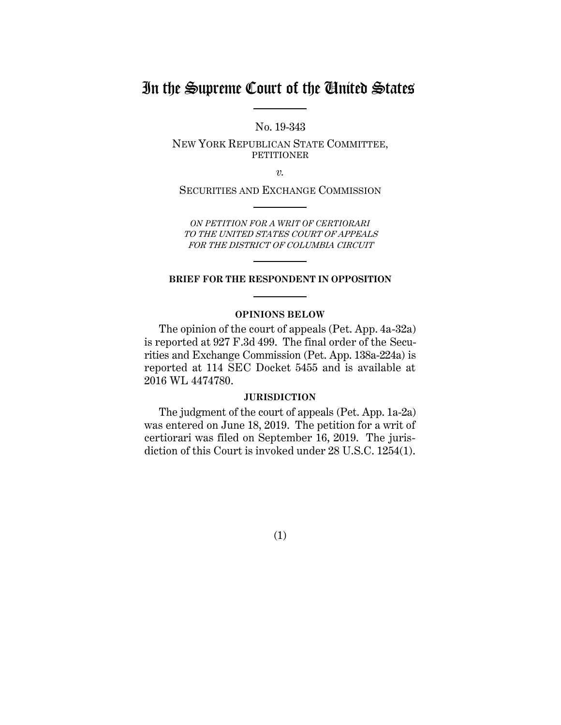# In the Supreme Court of the United States

No. 19-343

NEW YORK REPUBLICAN STATE COMMITTEE, PETITIONER

*v.*

SECURITIES AND EXCHANGE COMMISSION

*ON PETITION FOR A WRIT OF CERTIORARI* TO THE UNITED STATES COURT OF APPEALS FOR THE DISTRICT OF COLUMBIA CIRCUIT

## **BRIEF FOR THE RESPONDENT IN OPPOSITION**

# **OPINIONS BELOW**

The opinion of the court of appeals (Pet. App. 4a-32a) is reported at 927 F.3d 499. The final order of the Securities and Exchange Commission (Pet. App. 138a-224a) is reported at 114 SEC Docket 5455 and is available at 2016 WL 4474780.

### **JURISDICTION**

The judgment of the court of appeals (Pet. App. 1a-2a) was entered on June 18, 2019. The petition for a writ of certiorari was filed on September 16, 2019. The jurisdiction of this Court is invoked under 28 U.S.C. 1254(1).

(1)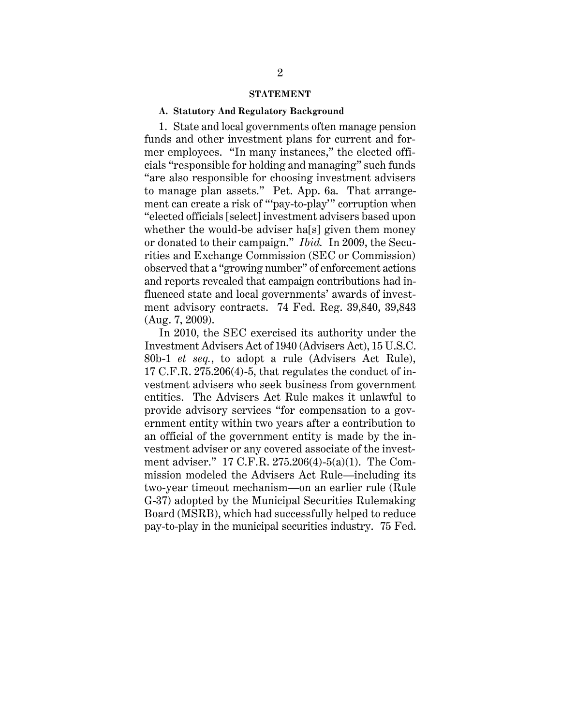#### **STATEMENT**

#### **A. Statutory And Regulatory Background**

1. State and local governments often manage pension funds and other investment plans for current and former employees. "In many instances," the elected officials "responsible for holding and managing" such funds "are also responsible for choosing investment advisers to manage plan assets." Pet. App. 6a. That arrangement can create a risk of "'pay-to-play'" corruption when "elected officials [select] investment advisers based upon whether the would-be adviser ha[s] given them money or donated to their campaign." *Ibid.* In 2009, the Securities and Exchange Commission (SEC or Commission) observed that a "growing number" of enforcement actions and reports revealed that campaign contributions had influenced state and local governments' awards of investment advisory contracts. 74 Fed. Reg. 39,840, 39,843 (Aug. 7, 2009).

In 2010, the SEC exercised its authority under the Investment Advisers Act of 1940 (Advisers Act), 15 U.S.C. 80b-1 *et seq.*, to adopt a rule (Advisers Act Rule), 17 C.F.R. 275.206(4)-5, that regulates the conduct of investment advisers who seek business from government entities. The Advisers Act Rule makes it unlawful to provide advisory services "for compensation to a government entity within two years after a contribution to an official of the government entity is made by the investment adviser or any covered associate of the investment adviser." 17 C.F.R. 275.206(4)-5(a)(1). The Commission modeled the Advisers Act Rule—including its two-year timeout mechanism—on an earlier rule (Rule G-37) adopted by the Municipal Securities Rulemaking Board (MSRB), which had successfully helped to reduce pay-to-play in the municipal securities industry. 75 Fed.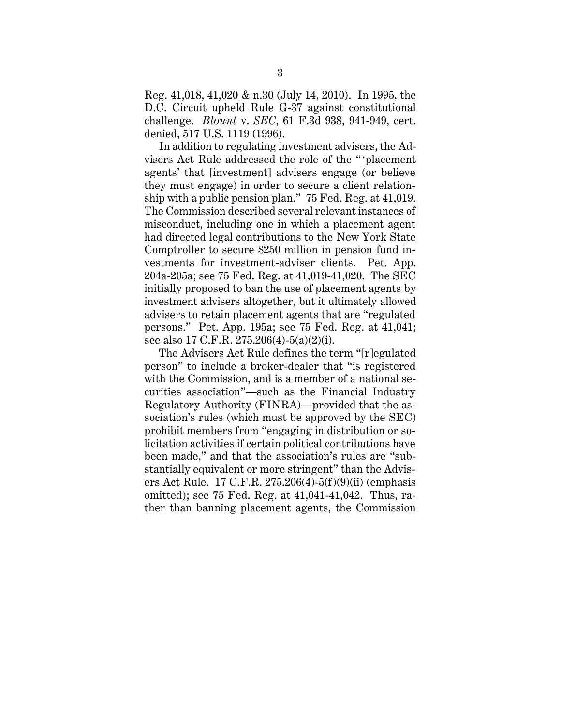Reg. 41,018, 41,020 & n.30 (July 14, 2010). In 1995, the D.C. Circuit upheld Rule G-37 against constitutional challenge. *Blount* v. *SEC*, 61 F.3d 938, 941-949, cert. denied, 517 U.S. 1119 (1996).

In addition to regulating investment advisers, the Advisers Act Rule addressed the role of the "'placement agents' that [investment] advisers engage (or believe they must engage) in order to secure a client relationship with a public pension plan." 75 Fed. Reg. at 41,019. The Commission described several relevant instances of misconduct, including one in which a placement agent had directed legal contributions to the New York State Comptroller to secure \$250 million in pension fund investments for investment-adviser clients. Pet. App. 204a-205a; see 75 Fed. Reg. at 41,019-41,020. The SEC initially proposed to ban the use of placement agents by investment advisers altogether, but it ultimately allowed advisers to retain placement agents that are "regulated persons." Pet. App. 195a; see 75 Fed. Reg. at 41,041; see also 17 C.F.R. 275.206(4)-5(a)(2)(i).

The Advisers Act Rule defines the term "[r]egulated person" to include a broker-dealer that "is registered with the Commission, and is a member of a national securities association"—such as the Financial Industry Regulatory Authority (FINRA)—provided that the association's rules (which must be approved by the SEC) prohibit members from "engaging in distribution or solicitation activities if certain political contributions have been made," and that the association's rules are "substantially equivalent or more stringent" than the Advisers Act Rule. 17 C.F.R. 275.206(4)-5(f)(9)(ii) (emphasis omitted); see 75 Fed. Reg. at 41,041-41,042. Thus, rather than banning placement agents, the Commission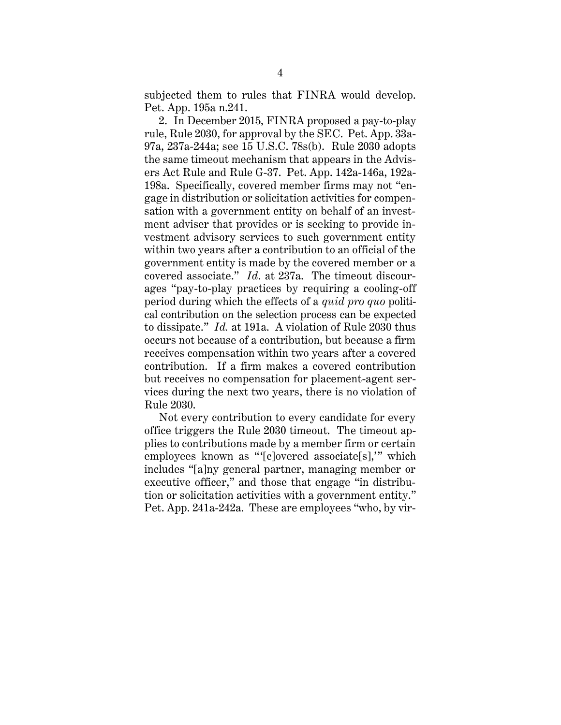subjected them to rules that FINRA would develop. Pet. App. 195a n.241.

2. In December 2015, FINRA proposed a pay-to-play rule, Rule 2030, for approval by the SEC. Pet. App. 33a-97a, 237a-244a; see 15 U.S.C. 78s(b). Rule 2030 adopts the same timeout mechanism that appears in the Advisers Act Rule and Rule G-37. Pet. App. 142a-146a, 192a-198a. Specifically, covered member firms may not "engage in distribution or solicitation activities for compensation with a government entity on behalf of an investment adviser that provides or is seeking to provide investment advisory services to such government entity within two years after a contribution to an official of the government entity is made by the covered member or a covered associate." *Id*. at 237a. The timeout discourages "pay-to-play practices by requiring a cooling-off period during which the effects of a *quid pro quo* political contribution on the selection process can be expected to dissipate." *Id.* at 191a. A violation of Rule 2030 thus occurs not because of a contribution, but because a firm receives compensation within two years after a covered contribution. If a firm makes a covered contribution but receives no compensation for placement-agent services during the next two years, there is no violation of Rule 2030.

Not every contribution to every candidate for every office triggers the Rule 2030 timeout. The timeout applies to contributions made by a member firm or certain employees known as "'[c]overed associate[s],'" which includes "[a]ny general partner, managing member or executive officer," and those that engage "in distribution or solicitation activities with a government entity." Pet. App. 241a-242a. These are employees "who, by vir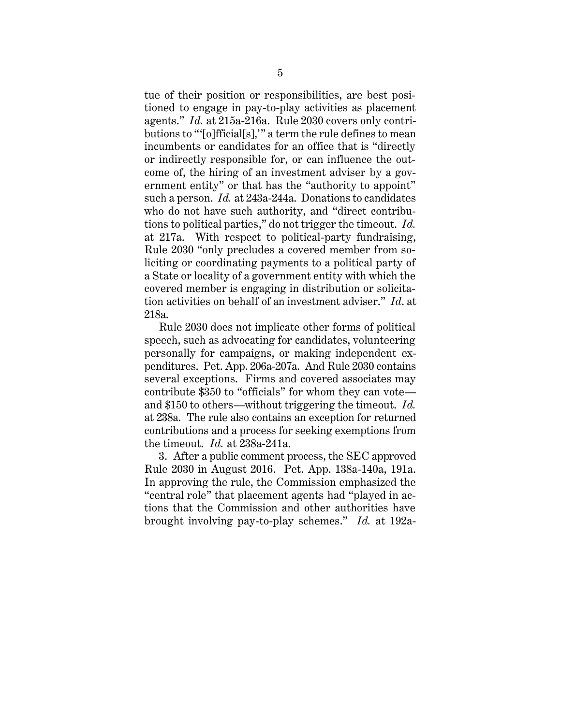tue of their position or responsibilities, are best positioned to engage in pay-to-play activities as placement agents." *Id.* at 215a-216a. Rule 2030 covers only contributions to "'[o]fficial[s],'" a term the rule defines to mean incumbents or candidates for an office that is "directly or indirectly responsible for, or can influence the outcome of, the hiring of an investment adviser by a government entity" or that has the "authority to appoint" such a person. *Id.* at 243a-244a. Donations to candidates who do not have such authority, and "direct contributions to political parties," do not trigger the timeout. *Id.* at 217a. With respect to political-party fundraising, Rule 2030 "only precludes a covered member from soliciting or coordinating payments to a political party of a State or locality of a government entity with which the covered member is engaging in distribution or solicitation activities on behalf of an investment adviser." *Id*. at 218a.

Rule 2030 does not implicate other forms of political speech, such as advocating for candidates, volunteering personally for campaigns, or making independent expenditures. Pet. App. 206a-207a. And Rule 2030 contains several exceptions. Firms and covered associates may contribute \$350 to "officials" for whom they can vote and \$150 to others—without triggering the timeout. *Id.* at 238a. The rule also contains an exception for returned contributions and a process for seeking exemptions from the timeout. *Id.* at 238a-241a.

3. After a public comment process, the SEC approved Rule 2030 in August 2016. Pet. App. 138a-140a, 191a. In approving the rule, the Commission emphasized the "central role" that placement agents had "played in actions that the Commission and other authorities have brought involving pay-to-play schemes." *Id.* at 192a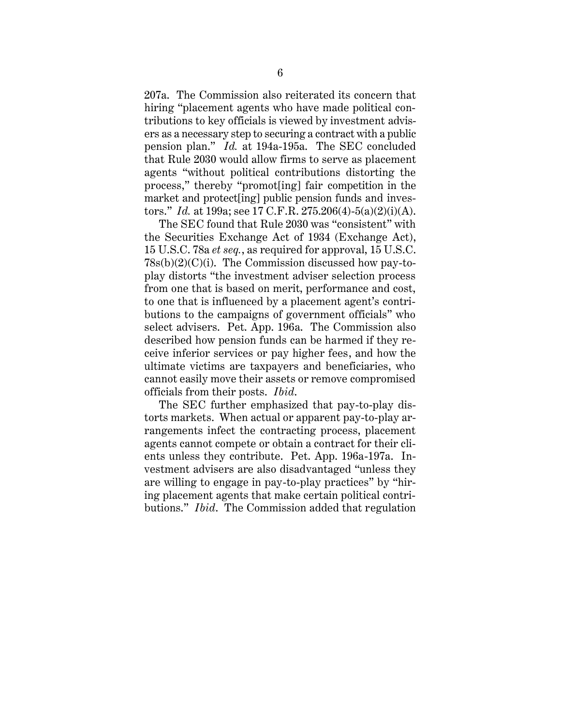207a. The Commission also reiterated its concern that hiring "placement agents who have made political contributions to key officials is viewed by investment advisers as a necessary step to securing a contract with a public pension plan." *Id.* at 194a-195a. The SEC concluded that Rule 2030 would allow firms to serve as placement agents "without political contributions distorting the process," thereby "promot[ing] fair competition in the market and protect[ing] public pension funds and investors." *Id.* at 199a; see 17 C.F.R. 275.206(4)-5(a)(2)(i)(A).

The SEC found that Rule 2030 was "consistent" with the Securities Exchange Act of 1934 (Exchange Act), 15 U.S.C. 78a *et seq.*, as required for approval, 15 U.S.C.  $78s(b)(2)(C)(i)$ . The Commission discussed how pay-toplay distorts "the investment adviser selection process from one that is based on merit, performance and cost, to one that is influenced by a placement agent's contributions to the campaigns of government officials" who select advisers. Pet. App. 196a. The Commission also described how pension funds can be harmed if they receive inferior services or pay higher fees, and how the ultimate victims are taxpayers and beneficiaries, who cannot easily move their assets or remove compromised officials from their posts. *Ibid*.

The SEC further emphasized that pay-to-play distorts markets. When actual or apparent pay-to-play arrangements infect the contracting process, placement agents cannot compete or obtain a contract for their clients unless they contribute. Pet. App. 196a-197a. Investment advisers are also disadvantaged "unless they are willing to engage in pay-to-play practices" by "hiring placement agents that make certain political contributions." *Ibid*. The Commission added that regulation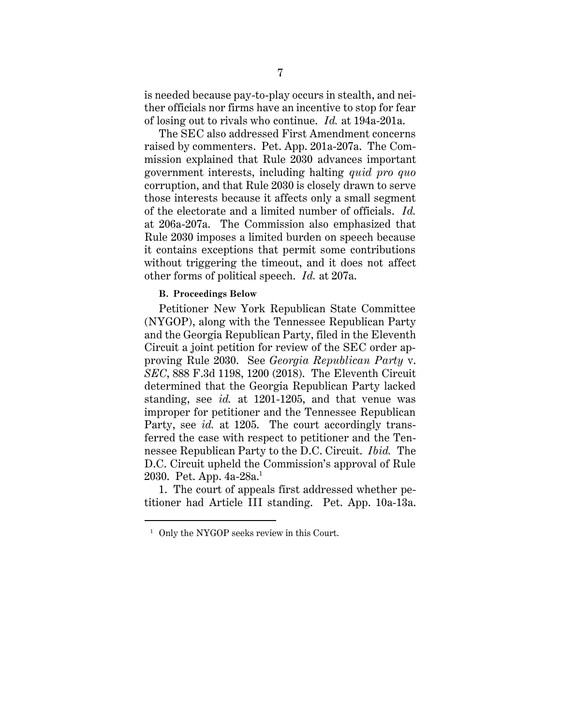is needed because pay-to-play occurs in stealth, and neither officials nor firms have an incentive to stop for fear of losing out to rivals who continue. *Id.* at 194a-201a.

The SEC also addressed First Amendment concerns raised by commenters. Pet. App. 201a-207a. The Commission explained that Rule 2030 advances important government interests, including halting *quid pro quo* corruption, and that Rule 2030 is closely drawn to serve those interests because it affects only a small segment of the electorate and a limited number of officials. *Id.*  at 206a-207a. The Commission also emphasized that Rule 2030 imposes a limited burden on speech because it contains exceptions that permit some contributions without triggering the timeout, and it does not affect other forms of political speech. *Id.* at 207a.

### **B. Proceedings Below**

Petitioner New York Republican State Committee (NYGOP), along with the Tennessee Republican Party and the Georgia Republican Party, filed in the Eleventh Circuit a joint petition for review of the SEC order approving Rule 2030. See *Georgia Republican Party* v. *SEC*, 888 F.3d 1198, 1200 (2018). The Eleventh Circuit determined that the Georgia Republican Party lacked standing, see *id.* at 1201-1205, and that venue was improper for petitioner and the Tennessee Republican Party, see *id.* at 1205. The court accordingly transferred the case with respect to petitioner and the Tennessee Republican Party to the D.C. Circuit. *Ibid.* The D.C. Circuit upheld the Commission's approval of Rule 2030. Pet. App.  $4a-28a$ <sup>1</sup>

1. The court of appeals first addressed whether petitioner had Article III standing. Pet. App. 10a-13a.

 $\overline{a}$ 

<sup>&</sup>lt;sup>1</sup> Only the NYGOP seeks review in this Court.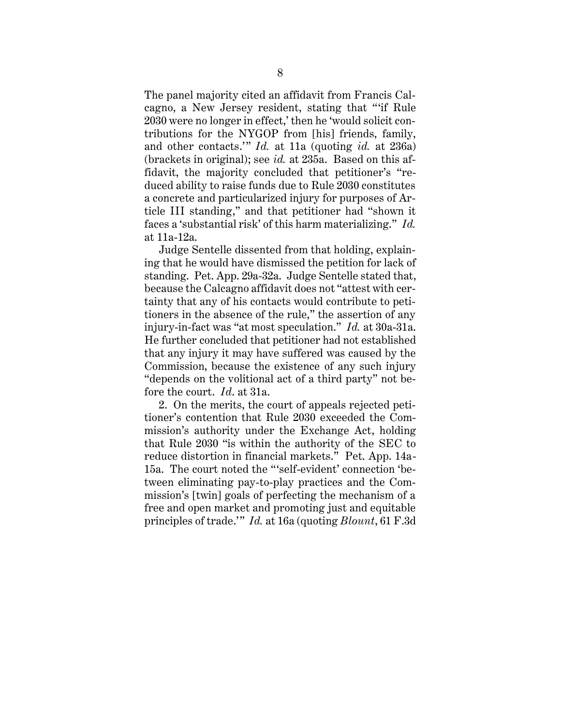The panel majority cited an affidavit from Francis Calcagno, a New Jersey resident, stating that "'if Rule 2030 were no longer in effect,' then he 'would solicit contributions for the NYGOP from [his] friends, family, and other contacts.'" *Id.* at 11a (quoting *id.* at 236a) (brackets in original); see *id.* at 235a. Based on this affidavit, the majority concluded that petitioner's "reduced ability to raise funds due to Rule 2030 constitutes a concrete and particularized injury for purposes of Article III standing," and that petitioner had "shown it faces a 'substantial risk' of this harm materializing." *Id.*  at 11a-12a.

Judge Sentelle dissented from that holding, explaining that he would have dismissed the petition for lack of standing. Pet. App. 29a-32a. Judge Sentelle stated that, because the Calcagno affidavit does not "attest with certainty that any of his contacts would contribute to petitioners in the absence of the rule," the assertion of any injury-in-fact was "at most speculation." *Id.* at 30a-31a. He further concluded that petitioner had not established that any injury it may have suffered was caused by the Commission, because the existence of any such injury "depends on the volitional act of a third party" not before the court. *Id*. at 31a.

2. On the merits, the court of appeals rejected petitioner's contention that Rule 2030 exceeded the Commission's authority under the Exchange Act, holding that Rule 2030 "is within the authority of the SEC to reduce distortion in financial markets." Pet. App. 14a-15a. The court noted the "'self-evident' connection 'between eliminating pay-to-play practices and the Commission's [twin] goals of perfecting the mechanism of a free and open market and promoting just and equitable principles of trade.'" *Id.* at 16a (quoting *Blount*, 61 F.3d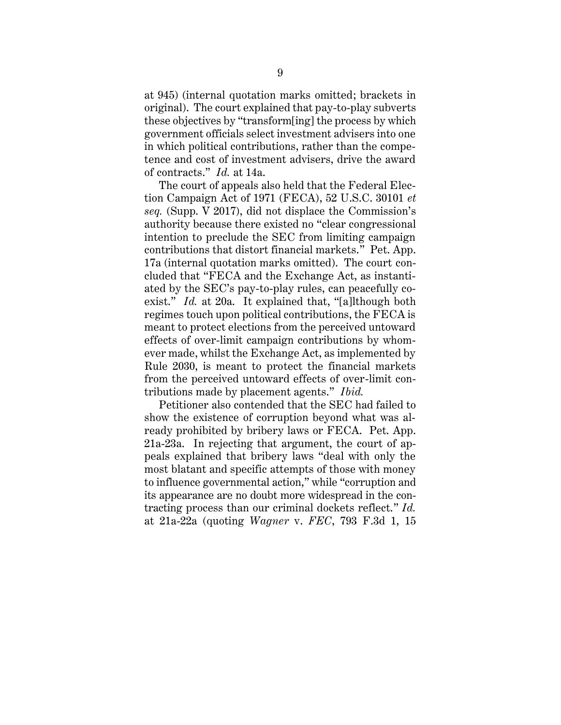at 945) (internal quotation marks omitted; brackets in original). The court explained that pay-to-play subverts these objectives by "transform[ing] the process by which government officials select investment advisers into one in which political contributions, rather than the competence and cost of investment advisers, drive the award of contracts." *Id.* at 14a.

The court of appeals also held that the Federal Election Campaign Act of 1971 (FECA), 52 U.S.C. 30101 *et seq.* (Supp. V 2017), did not displace the Commission's authority because there existed no "clear congressional intention to preclude the SEC from limiting campaign contributions that distort financial markets." Pet. App. 17a (internal quotation marks omitted). The court concluded that "FECA and the Exchange Act, as instantiated by the SEC's pay-to-play rules, can peacefully coexist." *Id.* at 20a. It explained that, "[a]lthough both regimes touch upon political contributions, the FECA is meant to protect elections from the perceived untoward effects of over-limit campaign contributions by whomever made, whilst the Exchange Act, as implemented by Rule 2030, is meant to protect the financial markets from the perceived untoward effects of over-limit contributions made by placement agents." *Ibid.*

Petitioner also contended that the SEC had failed to show the existence of corruption beyond what was already prohibited by bribery laws or FECA. Pet. App. 21a-23a. In rejecting that argument, the court of appeals explained that bribery laws "deal with only the most blatant and specific attempts of those with money to influence governmental action," while "corruption and its appearance are no doubt more widespread in the contracting process than our criminal dockets reflect." *Id.*  at 21a-22a (quoting *Wagner* v. *FEC*, 793 F.3d 1, 15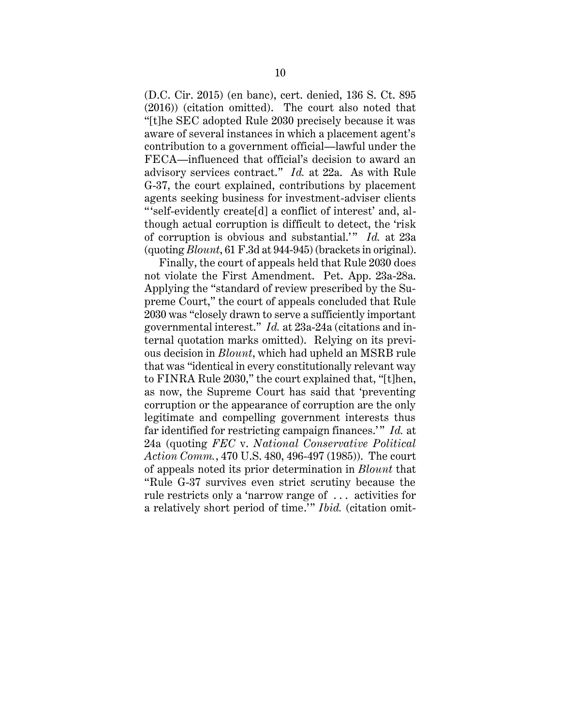(D.C. Cir. 2015) (en banc), cert. denied, 136 S. Ct. 895 (2016)) (citation omitted). The court also noted that "[t]he SEC adopted Rule 2030 precisely because it was aware of several instances in which a placement agent's contribution to a government official—lawful under the FECA—influenced that official's decision to award an advisory services contract." *Id.* at 22a. As with Rule G-37, the court explained, contributions by placement agents seeking business for investment-adviser clients " 'self-evidently create[d] a conflict of interest' and, although actual corruption is difficult to detect, the 'risk of corruption is obvious and substantial.'" *Id.* at 23a (quoting *Blount*, 61 F.3d at 944-945) (brackets in original).

Finally, the court of appeals held that Rule 2030 does not violate the First Amendment. Pet. App. 23a-28a. Applying the "standard of review prescribed by the Supreme Court," the court of appeals concluded that Rule 2030 was "closely drawn to serve a sufficiently important governmental interest." *Id.* at 23a-24a (citations and internal quotation marks omitted). Relying on its previous decision in *Blount*, which had upheld an MSRB rule that was "identical in every constitutionally relevant way to FINRA Rule 2030," the court explained that, "[t]hen, as now, the Supreme Court has said that 'preventing corruption or the appearance of corruption are the only legitimate and compelling government interests thus far identified for restricting campaign finances.'" *Id.* at 24a (quoting *FEC* v. *National Conservative Political Action Comm.*, 470 U.S. 480, 496-497 (1985)). The court of appeals noted its prior determination in *Blount* that "Rule G-37 survives even strict scrutiny because the rule restricts only a 'narrow range of . . . activities for a relatively short period of time.'" *Ibid.* (citation omit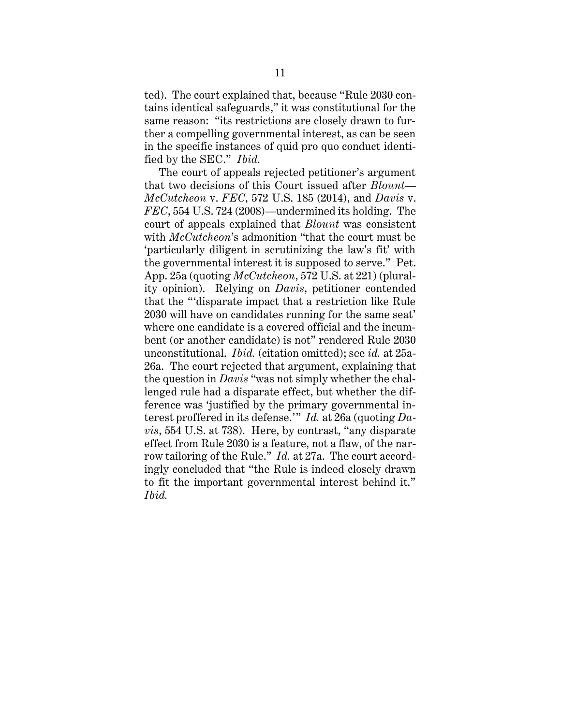ted). The court explained that, because "Rule 2030 contains identical safeguards," it was constitutional for the same reason: "its restrictions are closely drawn to further a compelling governmental interest, as can be seen in the specific instances of quid pro quo conduct identified by the SEC." *Ibid.*

The court of appeals rejected petitioner's argument that two decisions of this Court issued after *Blount*— *McCutcheon* v. *FEC*, 572 U.S. 185 (2014), and *Davis* v. *FEC*, 554 U.S. 724 (2008)—undermined its holding. The court of appeals explained that *Blount* was consistent with *McCutcheon*'s admonition "that the court must be 'particularly diligent in scrutinizing the law's fit' with the governmental interest it is supposed to serve." Pet. App. 25a (quoting *McCutcheon*, 572 U.S. at 221) (plurality opinion). Relying on *Davis*, petitioner contended that the "'disparate impact that a restriction like Rule 2030 will have on candidates running for the same seat' where one candidate is a covered official and the incumbent (or another candidate) is not" rendered Rule 2030 unconstitutional. *Ibid.* (citation omitted); see *id.* at 25a-26a. The court rejected that argument, explaining that the question in *Davis* "was not simply whether the challenged rule had a disparate effect, but whether the difference was 'justified by the primary governmental interest proffered in its defense.'" *Id.* at 26a (quoting *Davis*, 554 U.S. at 738). Here, by contrast, "any disparate effect from Rule 2030 is a feature, not a flaw, of the narrow tailoring of the Rule." *Id.* at 27a. The court accordingly concluded that "the Rule is indeed closely drawn to fit the important governmental interest behind it." *Ibid.*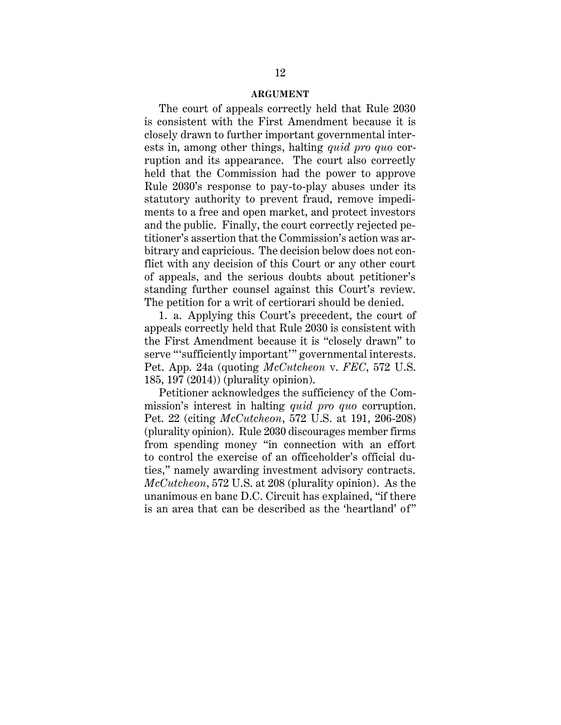#### **ARGUMENT**

The court of appeals correctly held that Rule 2030 is consistent with the First Amendment because it is closely drawn to further important governmental interests in, among other things, halting *quid pro quo* corruption and its appearance. The court also correctly held that the Commission had the power to approve Rule 2030's response to pay-to-play abuses under its statutory authority to prevent fraud, remove impediments to a free and open market, and protect investors and the public. Finally, the court correctly rejected petitioner's assertion that the Commission's action was arbitrary and capricious. The decision below does not conflict with any decision of this Court or any other court of appeals, and the serious doubts about petitioner's standing further counsel against this Court's review. The petition for a writ of certiorari should be denied.

1. a. Applying this Court's precedent, the court of appeals correctly held that Rule 2030 is consistent with the First Amendment because it is "closely drawn" to serve "'sufficiently important'" governmental interests. Pet. App. 24a (quoting *McCutcheon* v. *FEC*, 572 U.S. 185, 197 (2014)) (plurality opinion).

Petitioner acknowledges the sufficiency of the Commission's interest in halting *quid pro quo* corruption. Pet. 22 (citing *McCutcheon*, 572 U.S. at 191, 206-208) (plurality opinion). Rule 2030 discourages member firms from spending money "in connection with an effort to control the exercise of an officeholder's official duties," namely awarding investment advisory contracts. *McCutcheon*, 572 U.S. at 208 (plurality opinion). As the unanimous en banc D.C. Circuit has explained, "if there is an area that can be described as the 'heartland' of"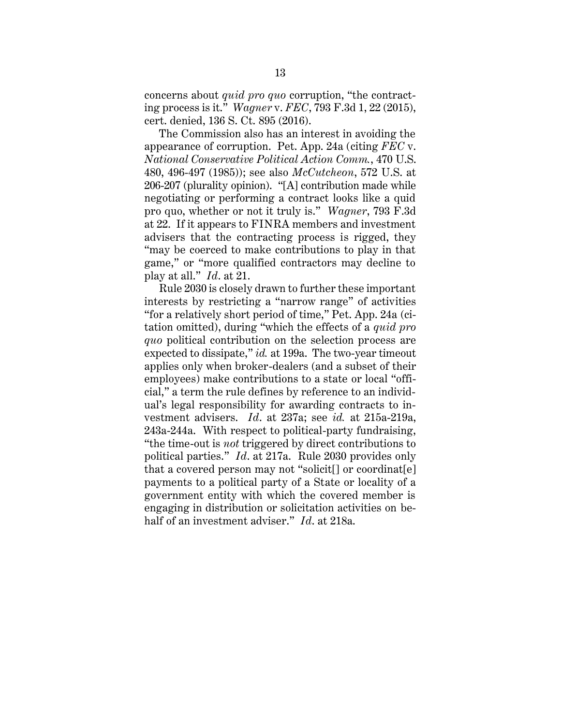concerns about *quid pro quo* corruption, "the contracting process is it." *Wagner* v. *FEC*, 793 F.3d 1, 22 (2015), cert. denied, 136 S. Ct. 895 (2016).

The Commission also has an interest in avoiding the appearance of corruption. Pet. App. 24a (citing *FEC* v. *National Conservative Political Action Comm.*, 470 U.S. 480, 496-497 (1985)); see also *McCutcheon*, 572 U.S. at 206-207 (plurality opinion). "[A] contribution made while negotiating or performing a contract looks like a quid pro quo, whether or not it truly is." *Wagner*, 793 F.3d at 22. If it appears to FINRA members and investment advisers that the contracting process is rigged, they "may be coerced to make contributions to play in that game," or "more qualified contractors may decline to play at all." *Id*. at 21.

Rule 2030 is closely drawn to further these important interests by restricting a "narrow range" of activities "for a relatively short period of time," Pet. App. 24a (citation omitted), during "which the effects of a *quid pro quo* political contribution on the selection process are expected to dissipate," *id.* at 199a. The two-year timeout applies only when broker-dealers (and a subset of their employees) make contributions to a state or local "official," a term the rule defines by reference to an individual's legal responsibility for awarding contracts to investment advisers. *Id*. at 237a; see *id.* at 215a-219a, 243a-244a. With respect to political-party fundraising, "the time-out is *not* triggered by direct contributions to political parties." *Id*. at 217a. Rule 2030 provides only that a covered person may not "solicit[] or coordinat[e] payments to a political party of a State or locality of a government entity with which the covered member is engaging in distribution or solicitation activities on behalf of an investment adviser." *Id*. at 218a.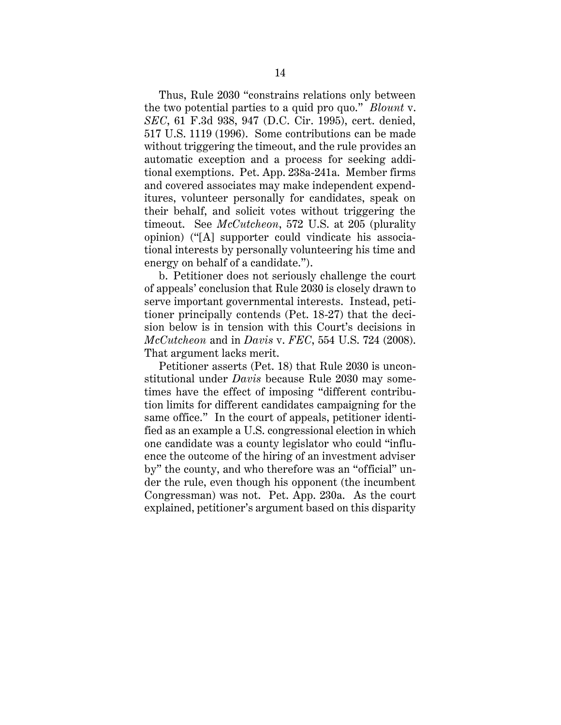Thus, Rule 2030 "constrains relations only between the two potential parties to a quid pro quo." *Blount* v. *SEC*, 61 F.3d 938, 947 (D.C. Cir. 1995), cert. denied, 517 U.S. 1119 (1996). Some contributions can be made without triggering the timeout, and the rule provides an automatic exception and a process for seeking additional exemptions. Pet. App. 238a-241a. Member firms and covered associates may make independent expenditures, volunteer personally for candidates, speak on their behalf, and solicit votes without triggering the timeout. See *McCutcheon*, 572 U.S. at 205 (plurality opinion) ("[A] supporter could vindicate his associational interests by personally volunteering his time and energy on behalf of a candidate.").

b. Petitioner does not seriously challenge the court of appeals' conclusion that Rule 2030 is closely drawn to serve important governmental interests. Instead, petitioner principally contends (Pet. 18-27) that the decision below is in tension with this Court's decisions in *McCutcheon* and in *Davis* v. *FEC*, 554 U.S. 724 (2008). That argument lacks merit.

Petitioner asserts (Pet. 18) that Rule 2030 is unconstitutional under *Davis* because Rule 2030 may sometimes have the effect of imposing "different contribution limits for different candidates campaigning for the same office." In the court of appeals, petitioner identified as an example a U.S. congressional election in which one candidate was a county legislator who could "influence the outcome of the hiring of an investment adviser by" the county, and who therefore was an "official" under the rule, even though his opponent (the incumbent Congressman) was not. Pet. App. 230a. As the court explained, petitioner's argument based on this disparity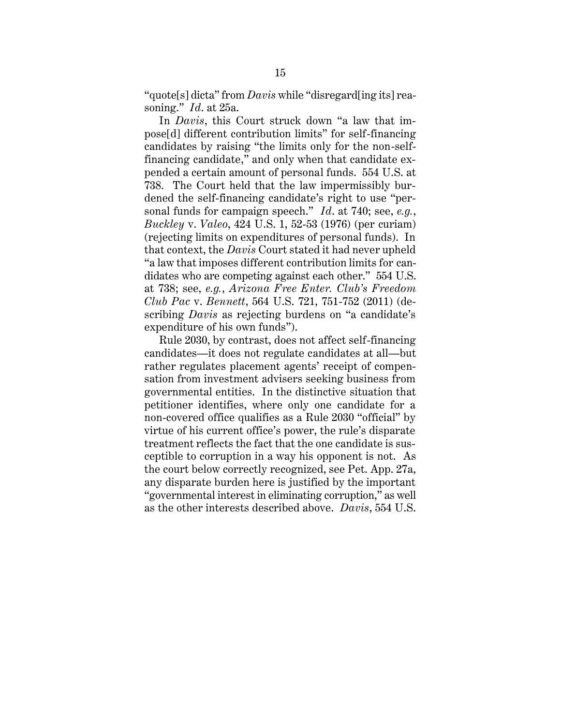"quote[s] dicta" from *Davis* while "disregard[ing its] reasoning." *Id*. at 25a.

In *Davis*, this Court struck down "a law that impose[d] different contribution limits" for self-financing candidates by raising "the limits only for the non-selffinancing candidate," and only when that candidate expended a certain amount of personal funds. 554 U.S. at 738. The Court held that the law impermissibly burdened the self-financing candidate's right to use "personal funds for campaign speech." *Id*. at 740; see, *e.g.*, *Buckley* v. *Valeo*, 424 U.S. 1, 52-53 (1976) (per curiam) (rejecting limits on expenditures of personal funds). In that context, the *Davis* Court stated it had never upheld "a law that imposes different contribution limits for candidates who are competing against each other." 554 U.S. at 738; see, *e.g.*, *Arizona Free Enter. Club's Freedom Club Pac* v. *Bennett*, 564 U.S. 721, 751-752 (2011) (describing *Davis* as rejecting burdens on "a candidate's expenditure of his own funds").

Rule 2030, by contrast, does not affect self-financing candidates—it does not regulate candidates at all—but rather regulates placement agents' receipt of compensation from investment advisers seeking business from governmental entities. In the distinctive situation that petitioner identifies, where only one candidate for a non-covered office qualifies as a Rule 2030 "official" by virtue of his current office's power, the rule's disparate treatment reflects the fact that the one candidate is susceptible to corruption in a way his opponent is not. As the court below correctly recognized, see Pet. App. 27a, any disparate burden here is justified by the important "governmental interest in eliminating corruption," as well as the other interests described above. *Davis*, 554 U.S.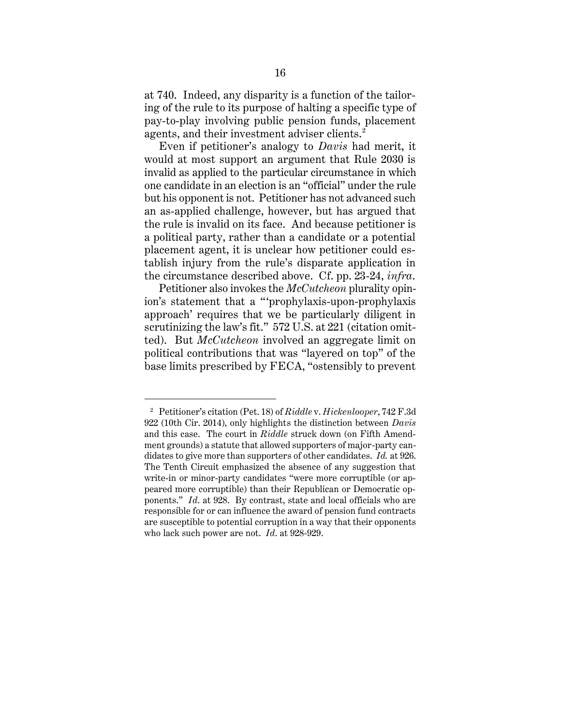at 740. Indeed, any disparity is a function of the tailoring of the rule to its purpose of halting a specific type of pay-to-play involving public pension funds, placement agents, and their investment adviser clients.<sup>2</sup>

Even if petitioner's analogy to *Davis* had merit, it would at most support an argument that Rule 2030 is invalid as applied to the particular circumstance in which one candidate in an election is an "official" under the rule but his opponent is not. Petitioner has not advanced such an as-applied challenge, however, but has argued that the rule is invalid on its face. And because petitioner is a political party, rather than a candidate or a potential placement agent, it is unclear how petitioner could establish injury from the rule's disparate application in the circumstance described above. Cf. pp. 23-24, *infra*.

Petitioner also invokes the *McCutcheon* plurality opinion's statement that a "'prophylaxis-upon-prophylaxis approach' requires that we be particularly diligent in scrutinizing the law's fit." 572 U.S. at 221 (citation omitted). But *McCutcheon* involved an aggregate limit on political contributions that was "layered on top" of the base limits prescribed by FECA, "ostensibly to prevent

 $\overline{a}$ 

<sup>2</sup> Petitioner's citation (Pet. 18) of *Riddle* v. *Hickenlooper*, 742 F.3d 922 (10th Cir. 2014), only highlights the distinction between *Davis*  and this case. The court in *Riddle* struck down (on Fifth Amendment grounds) a statute that allowed supporters of major-party candidates to give more than supporters of other candidates. *Id.* at 926. The Tenth Circuit emphasized the absence of any suggestion that write-in or minor-party candidates "were more corruptible (or appeared more corruptible) than their Republican or Democratic opponents." *Id*. at 928. By contrast, state and local officials who are responsible for or can influence the award of pension fund contracts are susceptible to potential corruption in a way that their opponents who lack such power are not. *Id*. at 928-929.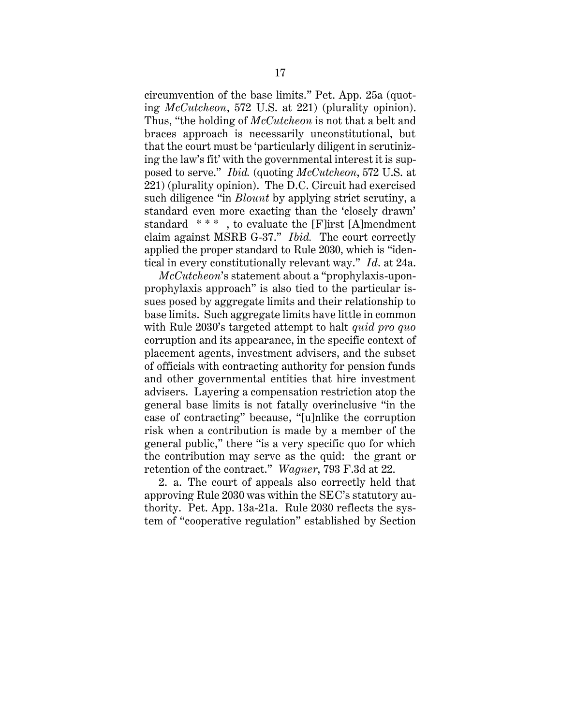circumvention of the base limits." Pet. App. 25a (quoting *McCutcheon*, 572 U.S. at 221) (plurality opinion). Thus, "the holding of *McCutcheon* is not that a belt and braces approach is necessarily unconstitutional, but that the court must be 'particularly diligent in scrutinizing the law's fit' with the governmental interest it is supposed to serve." *Ibid.* (quoting *McCutcheon*, 572 U.S. at 221) (plurality opinion). The D.C. Circuit had exercised such diligence "in *Blount* by applying strict scrutiny, a standard even more exacting than the 'closely drawn' standard \* \* \* , to evaluate the [F]irst [A]mendment claim against MSRB G-37." *Ibid.* The court correctly applied the proper standard to Rule 2030, which is "identical in every constitutionally relevant way." *Id*. at 24a.

*McCutcheon*'s statement about a "prophylaxis-uponprophylaxis approach" is also tied to the particular issues posed by aggregate limits and their relationship to base limits. Such aggregate limits have little in common with Rule 2030's targeted attempt to halt *quid pro quo* corruption and its appearance, in the specific context of placement agents, investment advisers, and the subset of officials with contracting authority for pension funds and other governmental entities that hire investment advisers. Layering a compensation restriction atop the general base limits is not fatally overinclusive "in the case of contracting" because, "[u]nlike the corruption risk when a contribution is made by a member of the general public," there "is a very specific quo for which the contribution may serve as the quid: the grant or retention of the contract." *Wagner*, 793 F.3d at 22.

2. a. The court of appeals also correctly held that approving Rule 2030 was within the SEC's statutory authority. Pet. App. 13a-21a. Rule 2030 reflects the system of "cooperative regulation" established by Section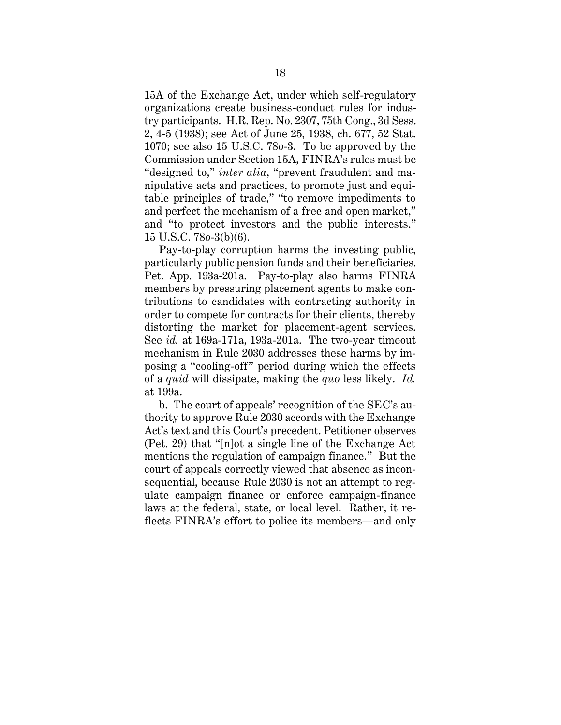15A of the Exchange Act, under which self-regulatory organizations create business-conduct rules for industry participants. H.R. Rep. No. 2307, 75th Cong., 3d Sess. 2, 4-5 (1938); see Act of June 25, 1938, ch. 677, 52 Stat. 1070; see also 15 U.S.C. 78*o*-3. To be approved by the Commission under Section 15A, FINRA's rules must be "designed to," *inter alia*, "prevent fraudulent and manipulative acts and practices, to promote just and equitable principles of trade," "to remove impediments to and perfect the mechanism of a free and open market," and "to protect investors and the public interests." 15 U.S.C. 78*o*-3(b)(6).

Pay-to-play corruption harms the investing public, particularly public pension funds and their beneficiaries. Pet. App. 193a-201a. Pay-to-play also harms FINRA members by pressuring placement agents to make contributions to candidates with contracting authority in order to compete for contracts for their clients, thereby distorting the market for placement-agent services. See *id.* at 169a-171a, 193a-201a. The two-year timeout mechanism in Rule 2030 addresses these harms by imposing a "cooling-off" period during which the effects of a *quid* will dissipate, making the *quo* less likely. *Id.*  at 199a.

b. The court of appeals' recognition of the SEC's authority to approve Rule 2030 accords with the Exchange Act's text and this Court's precedent. Petitioner observes (Pet. 29) that "[n]ot a single line of the Exchange Act mentions the regulation of campaign finance." But the court of appeals correctly viewed that absence as inconsequential, because Rule 2030 is not an attempt to regulate campaign finance or enforce campaign-finance laws at the federal, state, or local level. Rather, it reflects FINRA's effort to police its members—and only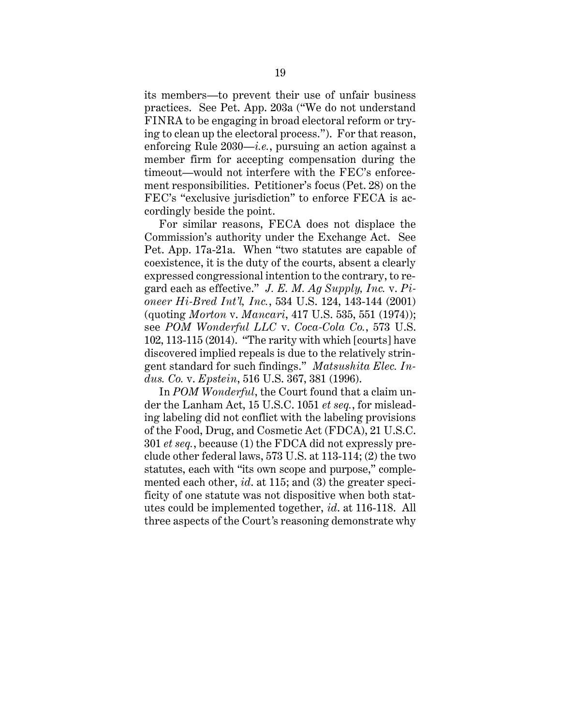its members—to prevent their use of unfair business practices. See Pet. App. 203a ("We do not understand FINRA to be engaging in broad electoral reform or trying to clean up the electoral process."). For that reason, enforcing Rule 2030—*i.e.*, pursuing an action against a member firm for accepting compensation during the timeout—would not interfere with the FEC's enforcement responsibilities. Petitioner's focus (Pet. 28) on the FEC's "exclusive jurisdiction" to enforce FECA is accordingly beside the point.

For similar reasons, FECA does not displace the Commission's authority under the Exchange Act. See Pet. App. 17a-21a. When "two statutes are capable of coexistence, it is the duty of the courts, absent a clearly expressed congressional intention to the contrary, to regard each as effective." *J. E. M. Ag Supply, Inc.* v. *Pioneer Hi-Bred Int'l, Inc.*, 534 U.S. 124, 143-144 (2001) (quoting *Morton* v. *Mancari*, 417 U.S. 535, 551 (1974)); see *POM Wonderful LLC* v. *Coca-Cola Co.*, 573 U.S. 102, 113-115 (2014). "The rarity with which [courts] have discovered implied repeals is due to the relatively stringent standard for such findings." *Matsushita Elec. Indus. Co.* v. *Epstein*, 516 U.S. 367, 381 (1996).

In *POM Wonderful*, the Court found that a claim under the Lanham Act, 15 U.S.C. 1051 *et seq.*, for misleading labeling did not conflict with the labeling provisions of the Food, Drug, and Cosmetic Act (FDCA), 21 U.S.C. 301 *et seq.*, because (1) the FDCA did not expressly preclude other federal laws, 573 U.S. at 113-114; (2) the two statutes, each with "its own scope and purpose," complemented each other, *id*. at 115; and (3) the greater specificity of one statute was not dispositive when both statutes could be implemented together, *id*. at 116-118. All three aspects of the Court*'*s reasoning demonstrate why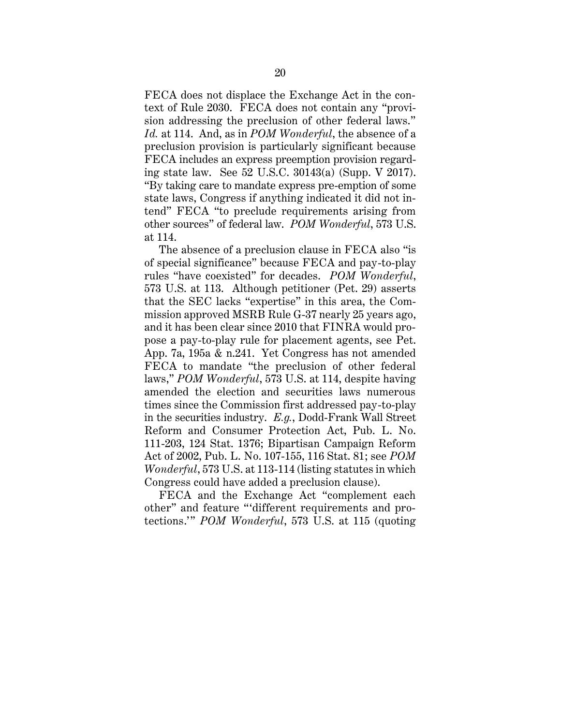FECA does not displace the Exchange Act in the context of Rule 2030. FECA does not contain any "provision addressing the preclusion of other federal laws." *Id.* at 114. And, as in *POM Wonderful*, the absence of a preclusion provision is particularly significant because FECA includes an express preemption provision regarding state law. See 52 U.S.C. 30143(a) (Supp. V 2017). "By taking care to mandate express pre-emption of some state laws, Congress if anything indicated it did not intend" FECA "to preclude requirements arising from other sources" of federal law. *POM Wonderful*, 573 U.S. at 114.

The absence of a preclusion clause in FECA also "is of special significance" because FECA and pay-to-play rules "have coexisted" for decades. *POM Wonderful*, 573 U.S. at 113. Although petitioner (Pet. 29) asserts that the SEC lacks "expertise" in this area, the Commission approved MSRB Rule G-37 nearly 25 years ago, and it has been clear since 2010 that FINRA would propose a pay-to-play rule for placement agents, see Pet. App. 7a, 195a & n.241. Yet Congress has not amended FECA to mandate "the preclusion of other federal laws," *POM Wonderful*, 573 U.S. at 114, despite having amended the election and securities laws numerous times since the Commission first addressed pay-to-play in the securities industry. *E.g.*, Dodd-Frank Wall Street Reform and Consumer Protection Act, Pub. L. No. 111-203, 124 Stat. 1376; Bipartisan Campaign Reform Act of 2002, Pub. L. No. 107-155, 116 Stat. 81; see *POM Wonderful*, 573 U.S. at 113-114 (listing statutes in which Congress could have added a preclusion clause).

FECA and the Exchange Act "complement each other" and feature "'different requirements and protections.'" *POM Wonderful*, 573 U.S. at 115 (quoting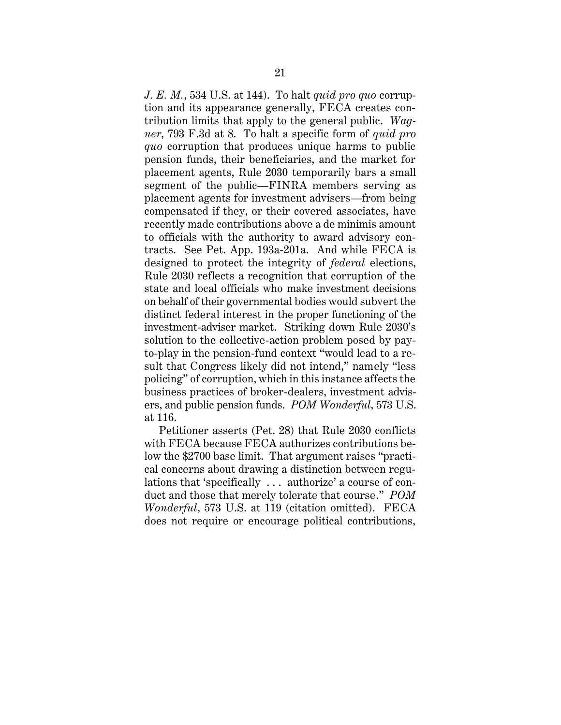*J. E. M.*, 534 U.S. at 144). To halt *quid pro quo* corruption and its appearance generally, FECA creates contribution limits that apply to the general public. *Wagner*, 793 F.3d at 8. To halt a specific form of *quid pro quo* corruption that produces unique harms to public pension funds, their beneficiaries, and the market for placement agents, Rule 2030 temporarily bars a small segment of the public—FINRA members serving as placement agents for investment advisers—from being compensated if they, or their covered associates, have recently made contributions above a de minimis amount to officials with the authority to award advisory contracts. See Pet. App. 193a-201a. And while FECA is designed to protect the integrity of *federal* elections, Rule 2030 reflects a recognition that corruption of the state and local officials who make investment decisions on behalf of their governmental bodies would subvert the distinct federal interest in the proper functioning of the investment-adviser market. Striking down Rule 2030's solution to the collective-action problem posed by payto-play in the pension-fund context "would lead to a result that Congress likely did not intend," namely "less policing" of corruption, which in this instance affects the business practices of broker-dealers, investment advisers, and public pension funds. *POM Wonderful*, 573 U.S. at 116.

Petitioner asserts (Pet. 28) that Rule 2030 conflicts with FECA because FECA authorizes contributions below the \$2700 base limit. That argument raises "practical concerns about drawing a distinction between regulations that 'specifically . . . authorize' a course of conduct and those that merely tolerate that course." *POM Wonderful*, 573 U.S. at 119 (citation omitted). FECA does not require or encourage political contributions,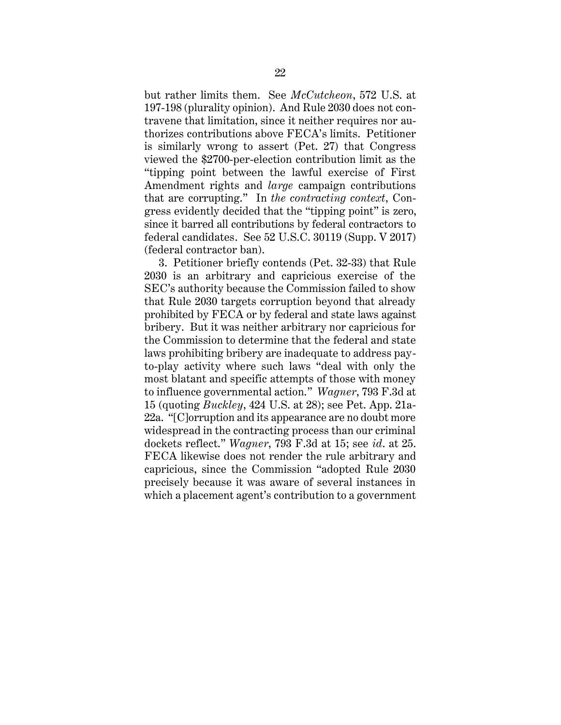but rather limits them. See *McCutcheon*, 572 U.S. at 197-198 (plurality opinion). And Rule 2030 does not contravene that limitation, since it neither requires nor authorizes contributions above FECA's limits. Petitioner is similarly wrong to assert (Pet. 27) that Congress viewed the \$2700-per-election contribution limit as the "tipping point between the lawful exercise of First Amendment rights and *large* campaign contributions that are corrupting." In *the contracting context*, Congress evidently decided that the "tipping point" is zero, since it barred all contributions by federal contractors to federal candidates. See 52 U.S.C. 30119 (Supp. V 2017) (federal contractor ban).

3. Petitioner briefly contends (Pet. 32-33) that Rule 2030 is an arbitrary and capricious exercise of the SEC's authority because the Commission failed to show that Rule 2030 targets corruption beyond that already prohibited by FECA or by federal and state laws against bribery. But it was neither arbitrary nor capricious for the Commission to determine that the federal and state laws prohibiting bribery are inadequate to address payto-play activity where such laws "deal with only the most blatant and specific attempts of those with money to influence governmental action." *Wagner*, 793 F.3d at 15 (quoting *Buckley*, 424 U.S. at 28); see Pet. App. 21a-22a. "[C]orruption and its appearance are no doubt more widespread in the contracting process than our criminal dockets reflect." *Wagner*, 793 F.3d at 15; see *id*. at 25. FECA likewise does not render the rule arbitrary and capricious, since the Commission "adopted Rule 2030 precisely because it was aware of several instances in which a placement agent's contribution to a government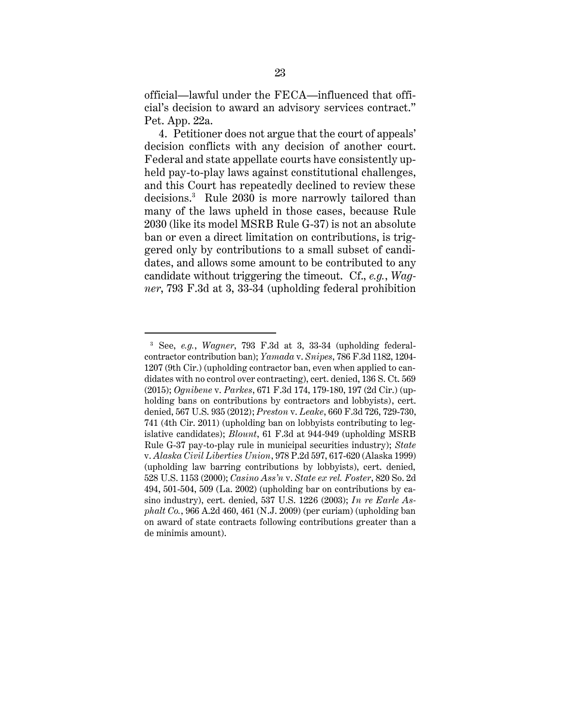official—lawful under the FECA—influenced that official's decision to award an advisory services contract." Pet. App. 22a.

4. Petitioner does not argue that the court of appeals' decision conflicts with any decision of another court. Federal and state appellate courts have consistently upheld pay-to-play laws against constitutional challenges, and this Court has repeatedly declined to review these decisions.<sup>3</sup> Rule 2030 is more narrowly tailored than many of the laws upheld in those cases, because Rule 2030 (like its model MSRB Rule G-37) is not an absolute ban or even a direct limitation on contributions, is triggered only by contributions to a small subset of candidates, and allows some amount to be contributed to any candidate without triggering the timeout. Cf., *e.g.*, *Wagner*, 793 F.3d at 3, 33-34 (upholding federal prohibition

 $\overline{a}$ 

<sup>3</sup> See, *e.g.*, *Wagner*, 793 F.3d at 3, 33-34 (upholding federalcontractor contribution ban); *Yamada* v. *Snipes*, 786 F.3d 1182, 1204- 1207 (9th Cir.) (upholding contractor ban, even when applied to candidates with no control over contracting), cert. denied, 136 S. Ct. 569 (2015); *Ognibene* v. *Parkes*, 671 F.3d 174, 179-180, 197 (2d Cir.) (upholding bans on contributions by contractors and lobbyists), cert. denied, 567 U.S. 935 (2012); *Preston* v. *Leake*, 660 F.3d 726, 729-730, 741 (4th Cir. 2011) (upholding ban on lobbyists contributing to legislative candidates); *Blount*, 61 F.3d at 944-949 (upholding MSRB Rule G-37 pay-to-play rule in municipal securities industry); *State* v. *Alaska Civil Liberties Union*, 978 P.2d 597, 617-620 (Alaska 1999) (upholding law barring contributions by lobbyists), cert. denied, 528 U.S. 1153 (2000); *Casino Ass'n* v. *State ex rel. Foster*, 820 So. 2d 494, 501-504, 509 (La. 2002) (upholding bar on contributions by casino industry), cert. denied, 537 U.S. 1226 (2003); *In re Earle Asphalt Co.*, 966 A.2d 460, 461 (N.J. 2009) (per curiam) (upholding ban on award of state contracts following contributions greater than a de minimis amount).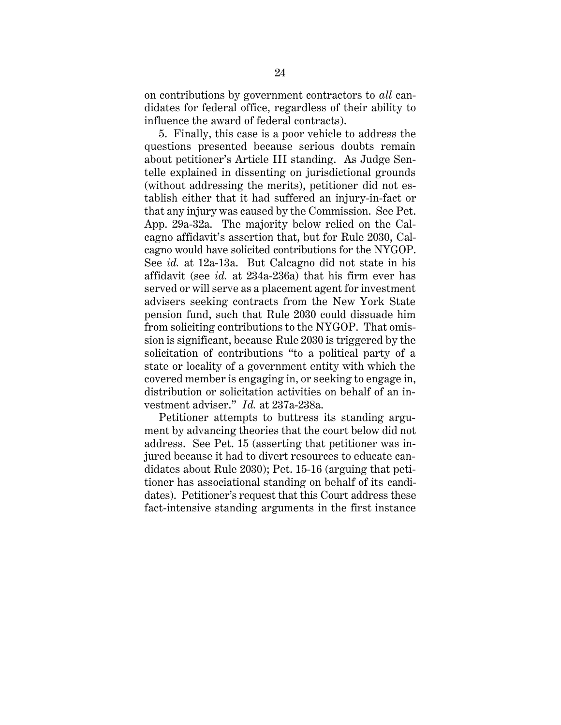on contributions by government contractors to *all* candidates for federal office, regardless of their ability to influence the award of federal contracts).

5. Finally, this case is a poor vehicle to address the questions presented because serious doubts remain about petitioner's Article III standing. As Judge Sentelle explained in dissenting on jurisdictional grounds (without addressing the merits), petitioner did not establish either that it had suffered an injury-in-fact or that any injury was caused by the Commission. See Pet. App. 29a-32a. The majority below relied on the Calcagno affidavit's assertion that, but for Rule 2030, Calcagno would have solicited contributions for the NYGOP. See *id.* at 12a-13a. But Calcagno did not state in his affidavit (see *id.* at 234a-236a) that his firm ever has served or will serve as a placement agent for investment advisers seeking contracts from the New York State pension fund, such that Rule 2030 could dissuade him from soliciting contributions to the NYGOP. That omission is significant, because Rule 2030 is triggered by the solicitation of contributions "to a political party of a state or locality of a government entity with which the covered member is engaging in, or seeking to engage in, distribution or solicitation activities on behalf of an investment adviser." *Id.* at 237a-238a.

Petitioner attempts to buttress its standing argument by advancing theories that the court below did not address. See Pet. 15 (asserting that petitioner was injured because it had to divert resources to educate candidates about Rule 2030); Pet. 15-16 (arguing that petitioner has associational standing on behalf of its candidates). Petitioner's request that this Court address these fact-intensive standing arguments in the first instance